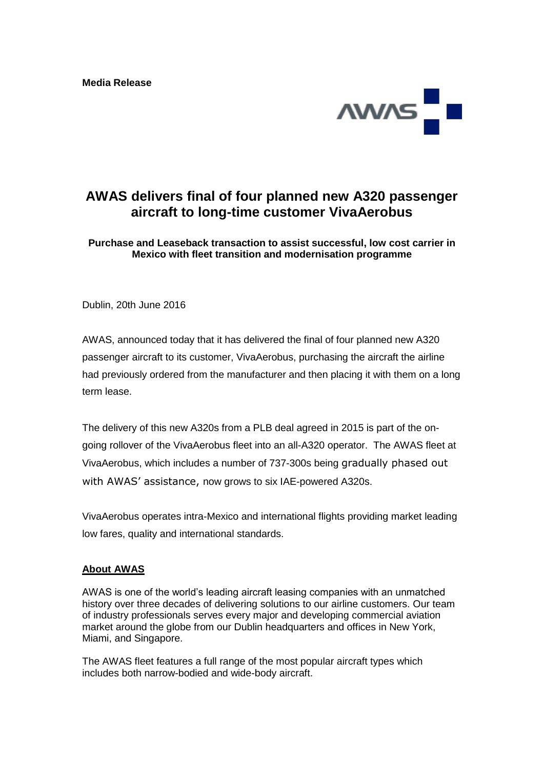**Media Release**



## **AWAS delivers final of four planned new A320 passenger aircraft to long-time customer VivaAerobus**

**Purchase and Leaseback transaction to assist successful, low cost carrier in Mexico with fleet transition and modernisation programme**

Dublin, 20th June 2016

AWAS, announced today that it has delivered the final of four planned new A320 passenger aircraft to its customer, VivaAerobus, purchasing the aircraft the airline had previously ordered from the manufacturer and then placing it with them on a long term lease.

The delivery of this new A320s from a PLB deal agreed in 2015 is part of the ongoing rollover of the VivaAerobus fleet into an all-A320 operator. The AWAS fleet at VivaAerobus, which includes a number of 737-300s being gradually phased out with AWAS' assistance, now grows to six IAE-powered A320s.

VivaAerobus operates intra-Mexico and international flights providing market leading low fares, quality and international standards.

## **About AWAS**

AWAS is one of the world's leading aircraft leasing companies with an unmatched history over three decades of delivering solutions to our airline customers. Our team of industry professionals serves every major and developing commercial aviation market around the globe from our Dublin headquarters and offices in New York, Miami, and Singapore.

The AWAS fleet features a full range of the most popular aircraft types which includes both narrow-bodied and wide-body aircraft.